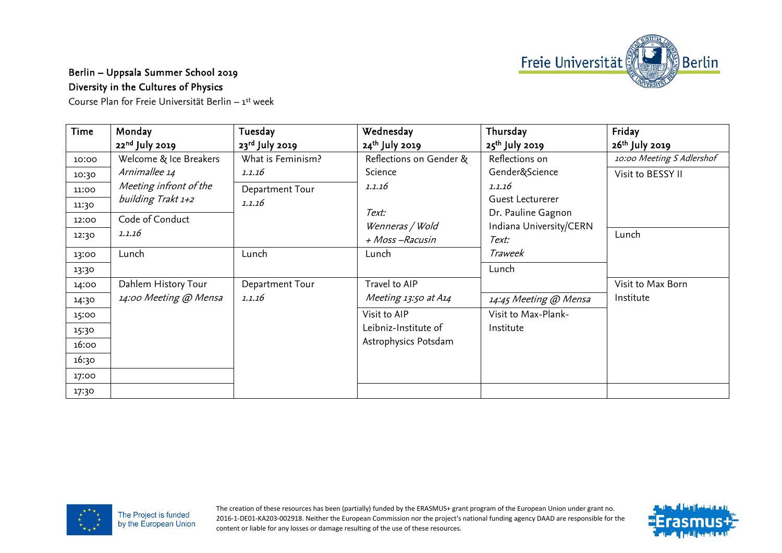

## Berlin – Uppsala Summer School 2019 Diversity in the Cultures of Physics

Course Plan for Freie Universität Berlin – 1st week

| Time  | Monday                 | Tuesday           | Wednesday                         | Thursday                         | Friday                     |
|-------|------------------------|-------------------|-----------------------------------|----------------------------------|----------------------------|
|       | $22nd$ July 2019       | $23rd$ July 2019  | 24 <sup>th</sup> July 2019        | 25 <sup>th</sup> July 2019       | 26 <sup>th</sup> July 2019 |
| 10:00 | Welcome & Ice Breakers | What is Feminism? | Reflections on Gender &           | Reflections on                   | 10:00 Meeting S Adlershof  |
| 10:30 | Arnimallee 14          | 1.1.16            | Science                           | Gender&Science                   | Visit to BESSY II          |
| 11:00 | Meeting infront of the | Department Tour   | 1.1.16                            | 1.1.16                           |                            |
| 11:30 | building Trakt 1+2     | 1.1.16            |                                   | Guest Lecturerer                 |                            |
| 12:00 | Code of Conduct        |                   | Text:                             | Dr. Pauline Gagnon               |                            |
| 12:30 | 1.1.16                 |                   | Wenneras / Wold<br>+ Moss-Racusin | Indiana University/CERN<br>Text: | Lunch                      |
| 13:00 | Lunch                  | Lunch             | Lunch                             | Traweek                          |                            |
| 13:30 |                        |                   |                                   | Lunch                            |                            |
| 14:00 | Dahlem History Tour    | Department Tour   | Travel to AIP                     |                                  | Visit to Max Born          |
| 14:30 | 14:00 Meeting @ Mensa  | 1.1.16            | Meeting 13:50 at A14              | 14:45 Meeting @ Mensa            | Institute                  |
| 15:00 |                        |                   | Visit to AIP                      | Visit to Max-Plank-              |                            |
| 15:30 |                        |                   | Leibniz-Institute of              | Institute                        |                            |
| 16:00 |                        |                   | Astrophysics Potsdam              |                                  |                            |
| 16:30 |                        |                   |                                   |                                  |                            |
| 17:00 |                        |                   |                                   |                                  |                            |
| 17:30 |                        |                   |                                   |                                  |                            |



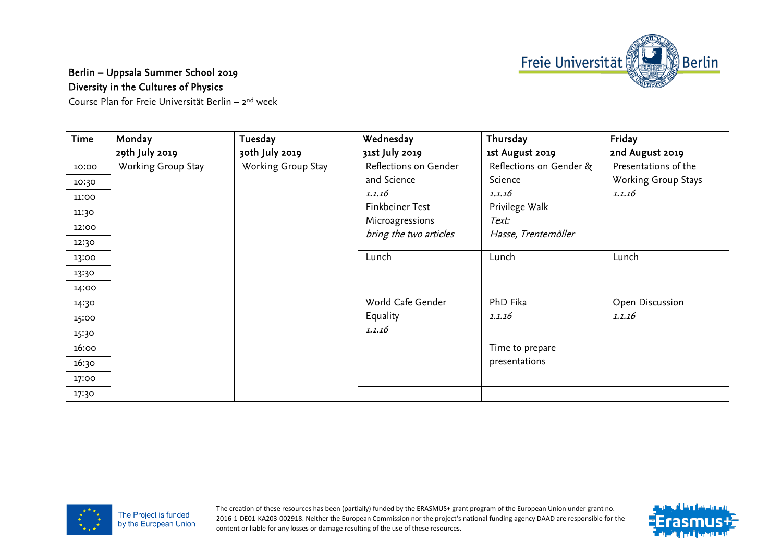

## Berlin – Uppsala Summer School 2019 Diversity in the Cultures of Physics

Course Plan for Freie Universität Berlin – 2nd week

| Time  | Monday             | Tuesday            | Wednesday              | Thursday                | Friday               |
|-------|--------------------|--------------------|------------------------|-------------------------|----------------------|
|       | 29th July 2019     | 30th July 2019     | 31st July 2019         | 1st August 2019         | 2nd August 2019      |
| 10:00 | Working Group Stay | Working Group Stay | Reflections on Gender  | Reflections on Gender & | Presentations of the |
| 10:30 |                    |                    | and Science            | Science                 | Working Group Stays  |
| 11:00 |                    |                    | 1.1.16                 | 1.1.16                  | 1.1.16               |
| 11:30 |                    |                    | Finkbeiner Test        | Privilege Walk          |                      |
| 12:00 |                    |                    | Microagressions        | Text:                   |                      |
|       |                    |                    | bring the two articles | Hasse, Trentemöller     |                      |
| 12:30 |                    |                    |                        |                         |                      |
| 13:00 |                    |                    | Lunch                  | Lunch                   | Lunch                |
| 13:30 |                    |                    |                        |                         |                      |
| 14:00 |                    |                    |                        |                         |                      |
| 14:30 |                    |                    | World Cafe Gender      | PhD Fika                | Open Discussion      |
| 15:00 |                    |                    | Equality               | 1.1.16                  | 1.1.16               |
| 15:30 |                    |                    | 1.1.16                 |                         |                      |
| 16:00 |                    |                    |                        | Time to prepare         |                      |
| 16:30 |                    |                    |                        | presentations           |                      |
| 17:00 |                    |                    |                        |                         |                      |
| 17:30 |                    |                    |                        |                         |                      |



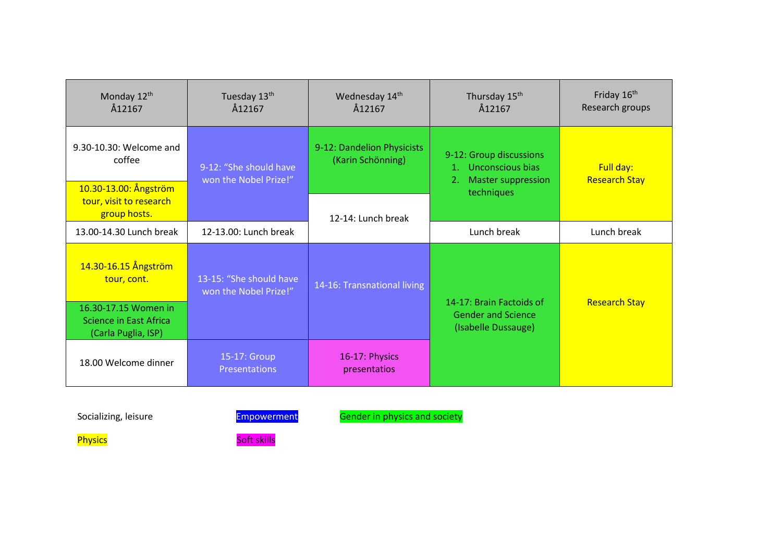| Monday 12th<br>Å12167                                                 | Tuesday 13th<br>Å12167                           | Wednesday 14th<br>Å12167                        | Thursday 15 <sup>th</sup><br>Å12167                                                       | Friday 16 <sup>th</sup><br>Research groups |
|-----------------------------------------------------------------------|--------------------------------------------------|-------------------------------------------------|-------------------------------------------------------------------------------------------|--------------------------------------------|
| 9.30-10.30: Welcome and<br>coffee<br>10.30-13.00: Ångström            | 9-12: "She should have<br>won the Nobel Prize!"  | 9-12: Dandelion Physicists<br>(Karin Schönning) | 9-12: Group discussions<br>1. Unconscious bias<br><b>Master suppression</b><br>techniques | Full day:<br><b>Research Stay</b>          |
| tour, visit to research<br>group hosts.                               |                                                  | 12-14: Lunch break                              |                                                                                           |                                            |
| 13.00-14.30 Lunch break                                               | 12-13.00: Lunch break                            |                                                 | Lunch break                                                                               | Lunch break                                |
| 14.30-16.15 Ångström<br>tour, cont.                                   | 13-15: "She should have<br>won the Nobel Prize!" | 14-16: Transnational living                     | 14-17: Brain Factoids of<br><b>Gender and Science</b><br>(Isabelle Dussauge)              | <b>Research Stay</b>                       |
| 16.30-17.15 Women in<br>Science in East Africa<br>(Carla Puglia, ISP) |                                                  |                                                 |                                                                                           |                                            |
| 18.00 Welcome dinner                                                  | 15-17: Group<br><b>Presentations</b>             | 16-17: Physics<br>presentatios                  |                                                                                           |                                            |

Socializing, leisure **Empowerment** Gender in physics and society

Physics **Soft skills**